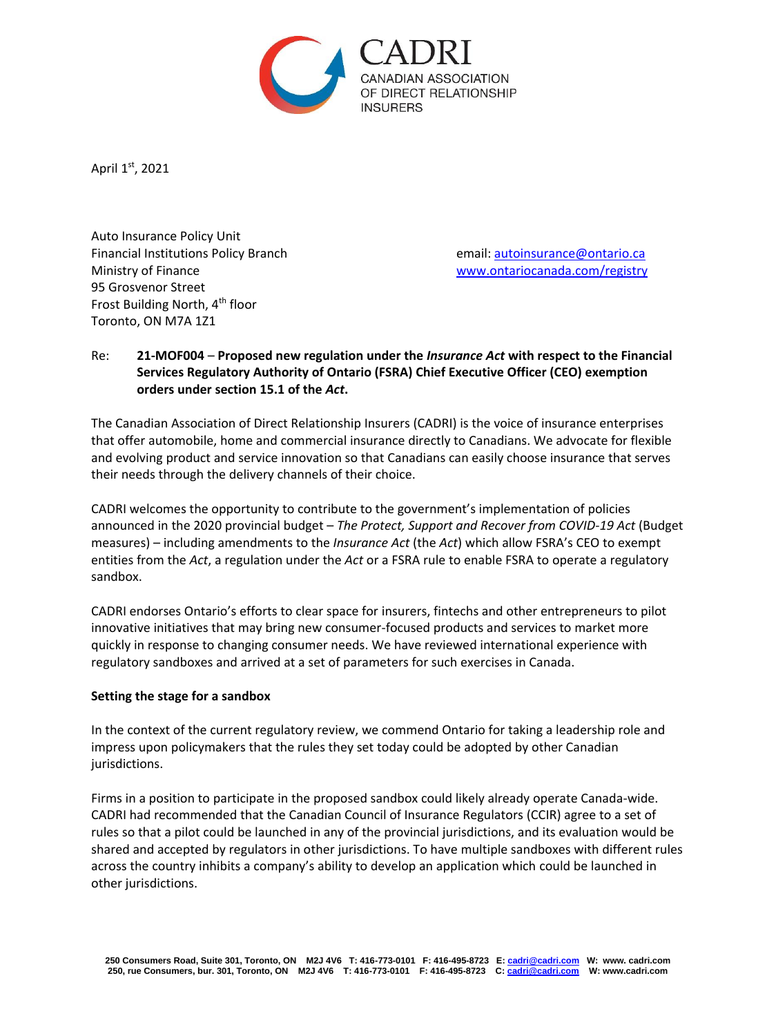

April 1st, 2021

Auto Insurance Policy Unit Financial Institutions Policy Branch **Email: [autoinsurance@ontario.ca](mailto:autoinsurance@ontario.ca)** Ministry of Finance [www.ontariocanada.com/registry](http://www.ontariocanada.com/registry) 95 Grosvenor Street Frost Building North, 4<sup>th</sup> floor Toronto, ON M7A 1Z1

# Re: **21-MOF004** – **Proposed new regulation under the** *Insurance Act* **with respect to the Financial Services Regulatory Authority of Ontario (FSRA) Chief Executive Officer (CEO) exemption orders under section 15.1 of the** *Act***.**

The Canadian Association of Direct Relationship Insurers (CADRI) is the voice of insurance enterprises that offer automobile, home and commercial insurance directly to Canadians. We advocate for flexible and evolving product and service innovation so that Canadians can easily choose insurance that serves their needs through the delivery channels of their choice.

CADRI welcomes the opportunity to contribute to the government's implementation of policies announced in the 2020 provincial budget – *The Protect, Support and Recover from COVID-19 Act* (Budget measures) – including amendments to the *Insurance Act* (the *Act*) which allow FSRA's CEO to exempt entities from the *Act*, a regulation under the *Act* or a FSRA rule to enable FSRA to operate a regulatory sandbox.

CADRI endorses Ontario's efforts to clear space for insurers, fintechs and other entrepreneurs to pilot innovative initiatives that may bring new consumer-focused products and services to market more quickly in response to changing consumer needs. We have reviewed international experience with regulatory sandboxes and arrived at a set of parameters for such exercises in Canada.

#### **Setting the stage for a sandbox**

In the context of the current regulatory review, we commend Ontario for taking a leadership role and impress upon policymakers that the rules they set today could be adopted by other Canadian jurisdictions.

Firms in a position to participate in the proposed sandbox could likely already operate Canada-wide. CADRI had recommended that the Canadian Council of Insurance Regulators (CCIR) agree to a set of rules so that a pilot could be launched in any of the provincial jurisdictions, and its evaluation would be shared and accepted by regulators in other jurisdictions. To have multiple sandboxes with different rules across the country inhibits a company's ability to develop an application which could be launched in other jurisdictions.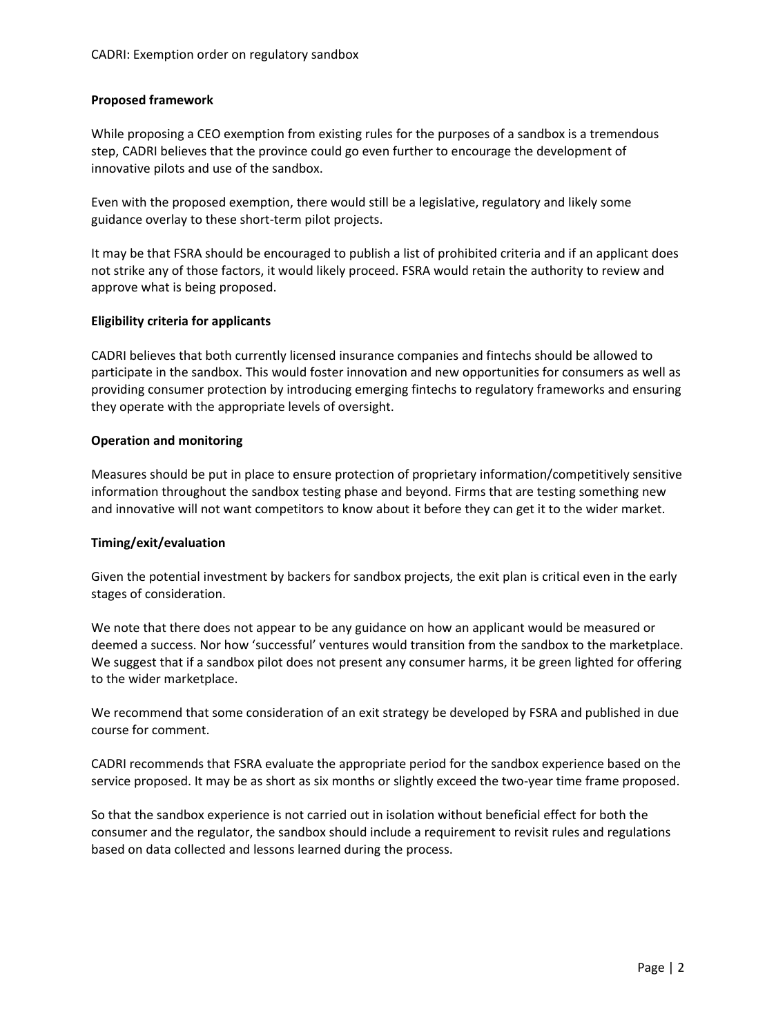## **Proposed framework**

While proposing a CEO exemption from existing rules for the purposes of a sandbox is a tremendous step, CADRI believes that the province could go even further to encourage the development of innovative pilots and use of the sandbox.

Even with the proposed exemption, there would still be a legislative, regulatory and likely some guidance overlay to these short-term pilot projects.

It may be that FSRA should be encouraged to publish a list of prohibited criteria and if an applicant does not strike any of those factors, it would likely proceed. FSRA would retain the authority to review and approve what is being proposed.

## **Eligibility criteria for applicants**

CADRI believes that both currently licensed insurance companies and fintechs should be allowed to participate in the sandbox. This would foster innovation and new opportunities for consumers as well as providing consumer protection by introducing emerging fintechs to regulatory frameworks and ensuring they operate with the appropriate levels of oversight.

#### **Operation and monitoring**

Measures should be put in place to ensure protection of proprietary information/competitively sensitive information throughout the sandbox testing phase and beyond. Firms that are testing something new and innovative will not want competitors to know about it before they can get it to the wider market.

## **Timing/exit/evaluation**

Given the potential investment by backers for sandbox projects, the exit plan is critical even in the early stages of consideration.

We note that there does not appear to be any guidance on how an applicant would be measured or deemed a success. Nor how 'successful' ventures would transition from the sandbox to the marketplace. We suggest that if a sandbox pilot does not present any consumer harms, it be green lighted for offering to the wider marketplace.

We recommend that some consideration of an exit strategy be developed by FSRA and published in due course for comment.

CADRI recommends that FSRA evaluate the appropriate period for the sandbox experience based on the service proposed. It may be as short as six months or slightly exceed the two-year time frame proposed.

So that the sandbox experience is not carried out in isolation without beneficial effect for both the consumer and the regulator, the sandbox should include a requirement to revisit rules and regulations based on data collected and lessons learned during the process.